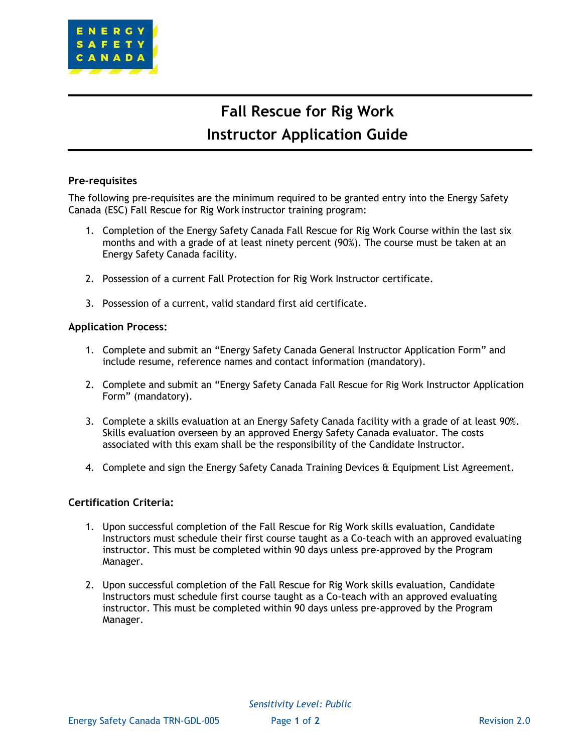

# **Fall Rescue for Rig Work Instructor Application Guide**

### **Pre-requisites**

The following pre-requisites are the minimum required to be granted entry into the Energy Safety Canada (ESC) Fall Rescue for Rig Work instructor training program:

- 1. Completion of the Energy Safety Canada Fall Rescue for Rig Work Course within the last six months and with a grade of at least ninety percent (90%). The course must be taken at an Energy Safety Canada facility.
- 2. Possession of a current Fall Protection for Rig Work Instructor certificate.
- 3. Possession of a current, valid standard first aid certificate.

#### **Application Process:**

- 1. Complete and submit an "Energy Safety Canada General Instructor Application Form" and include resume, reference names and contact information (mandatory).
- 2. Complete and submit an "Energy Safety Canada Fall Rescue for Rig Work Instructor Application Form" (mandatory).
- 3. Complete a skills evaluation at an Energy Safety Canada facility with a grade of at least 90%. Skills evaluation overseen by an approved Energy Safety Canada evaluator. The costs associated with this exam shall be the responsibility of the Candidate Instructor.
- 4. Complete and sign the Energy Safety Canada Training Devices & Equipment List Agreement.

#### **Certification Criteria:**

- 1. Upon successful completion of the Fall Rescue for Rig Work skills evaluation, Candidate Instructors must schedule their first course taught as a Co-teach with an approved evaluating instructor. This must be completed within 90 days unless pre-approved by the Program Manager.
- 2. Upon successful completion of the Fall Rescue for Rig Work skills evaluation, Candidate Instructors must schedule first course taught as a Co-teach with an approved evaluating instructor. This must be completed within 90 days unless pre-approved by the Program Manager.